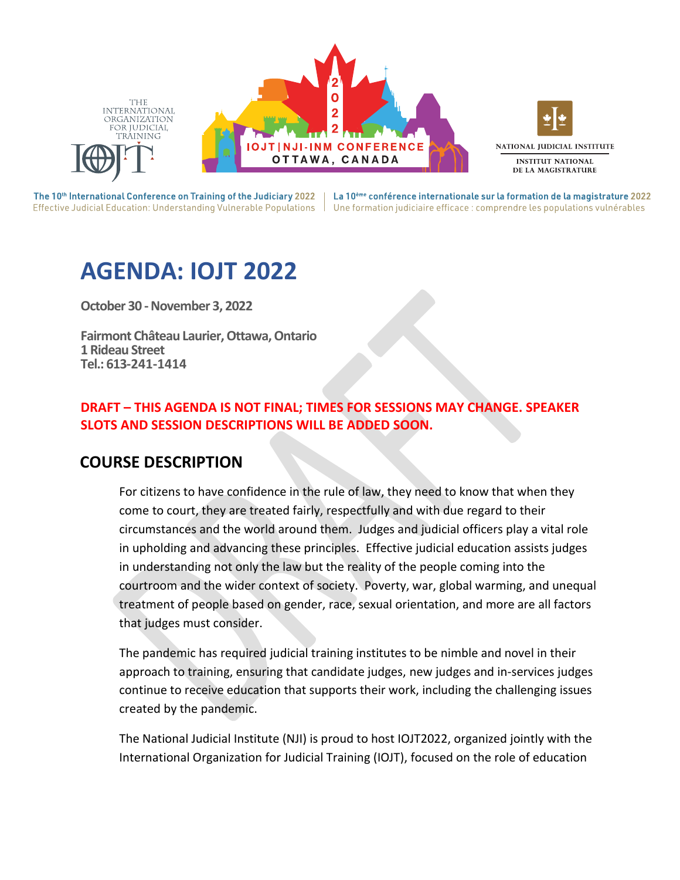

The 10<sup>th</sup> International Conference on Training of the Judiciary 2022 |

La 10<sup>ème</sup> conférence internationale sur la formation de la magistrature 2022 Effective Judicial Education: Understanding Vulnerable Populations | Une formation judiciaire efficace : comprendre les populations vulnérables

# **AGENDA: IOJT 2022**

**October 30 - November 3, 2022** 

**Fairmont Château Laurier, Ottawa, Ontario 1 Rideau Street Tel.: 613-241-1414** 

### **DRAFT – THIS AGENDA IS NOT FINAL; TIMES FOR SESSIONS MAY CHANGE. SPEAKER SLOTS AND SESSION DESCRIPTIONS WILL BE ADDED SOON.**

# **COURSE DESCRIPTION**

For citizens to have confidence in the rule of law, they need to know that when they come to court, they are treated fairly, respectfully and with due regard to their circumstances and the world around them. Judges and judicial officers play a vital role in upholding and advancing these principles. Effective judicial education assists judges in understanding not only the law but the reality of the people coming into the courtroom and the wider context of society. Poverty, war, global warming, and unequal treatment of people based on gender, race, sexual orientation, and more are all factors that judges must consider.

The pandemic has required judicial training institutes to be nimble and novel in their approach to training, ensuring that candidate judges, new judges and in-services judges continue to receive education that supports their work, including the challenging issues created by the pandemic.

The National Judicial Institute (NJI) is proud to host IOJT2022, organized jointly with the International Organization for Judicial Training (IOJT), focused on the role of education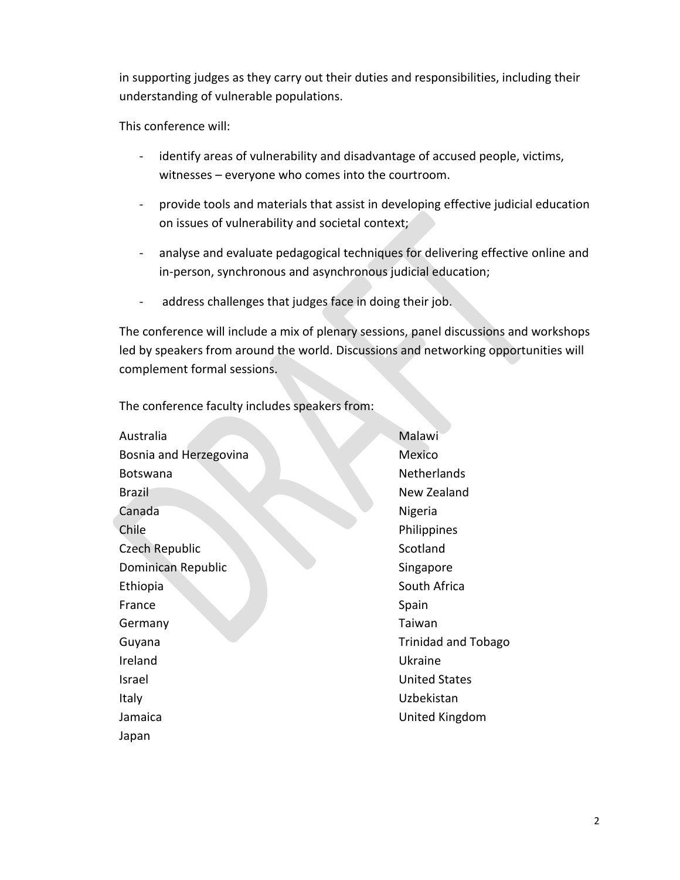in supporting judges as they carry out their duties and responsibilities, including their understanding of vulnerable populations.

This conference will:

- identify areas of vulnerability and disadvantage of accused people, victims, witnesses – everyone who comes into the courtroom.
- provide tools and materials that assist in developing effective judicial education on issues of vulnerability and societal context;
- analyse and evaluate pedagogical techniques for delivering effective online and in-person, synchronous and asynchronous judicial education;
- address challenges that judges face in doing their job.

The conference will include a mix of plenary sessions, panel discussions and workshops led by speakers from around the world. Discussions and networking opportunities will complement formal sessions.

The conference faculty includes speakers from:

| Australia              | Malawi                     |
|------------------------|----------------------------|
| Bosnia and Herzegovina | Mexico                     |
| <b>Botswana</b>        | Netherlands                |
| <b>Brazil</b>          | New Zealand                |
| Canada                 | Nigeria                    |
| Chile                  | Philippines                |
| Czech Republic         | Scotland                   |
| Dominican Republic     | Singapore                  |
| Ethiopia               | South Africa               |
| France                 | Spain                      |
| Germany                | Taiwan                     |
| Guyana                 | <b>Trinidad and Tobago</b> |
| Ireland                | Ukraine                    |
| Israel                 | <b>United States</b>       |
| Italy                  | Uzbekistan                 |
| Jamaica                | United Kingdom             |
| Japan                  |                            |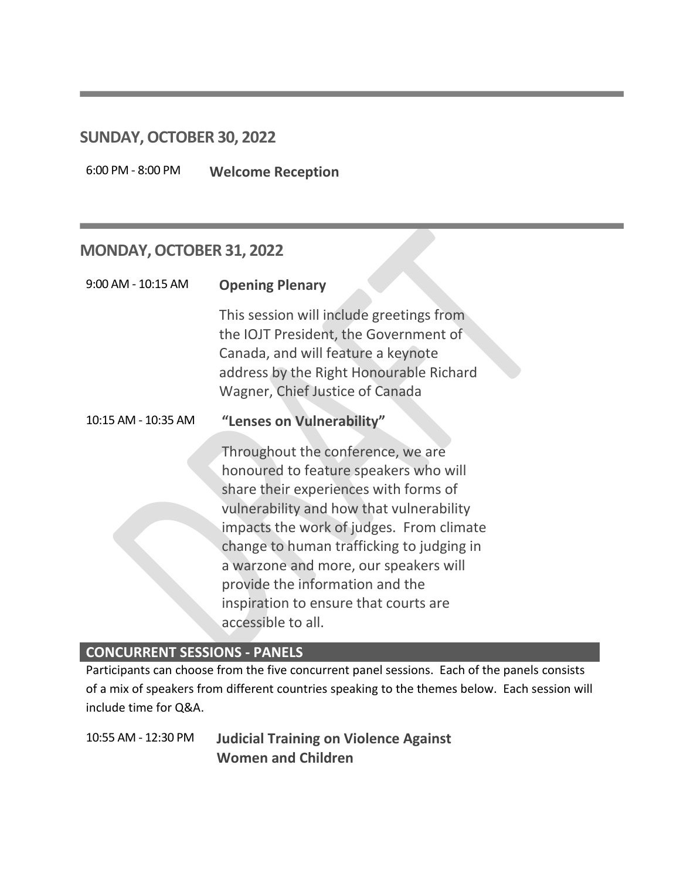### **SUNDAY, OCTOBER 30, 2022**

6:00 PM - 8:00 PM **Welcome Reception**

# **MONDAY, OCTOBER 31, 2022**

| 9:00 AM - 10:15 AM  | <b>Opening Plenary</b>                                                                                                                                                                                                                                                                                                                                                                              |
|---------------------|-----------------------------------------------------------------------------------------------------------------------------------------------------------------------------------------------------------------------------------------------------------------------------------------------------------------------------------------------------------------------------------------------------|
|                     | This session will include greetings from<br>the IOJT President, the Government of<br>Canada, and will feature a keynote<br>address by the Right Honourable Richard<br>Wagner, Chief Justice of Canada                                                                                                                                                                                               |
| 10:15 AM - 10:35 AM | "Lenses on Vulnerability"                                                                                                                                                                                                                                                                                                                                                                           |
|                     | Throughout the conference, we are<br>honoured to feature speakers who will<br>share their experiences with forms of<br>vulnerability and how that vulnerability<br>impacts the work of judges. From climate<br>change to human trafficking to judging in<br>a warzone and more, our speakers will<br>provide the information and the<br>inspiration to ensure that courts are<br>accessible to all. |

### **CONCURRENT SESSIONS - PANELS**

Participants can choose from the five concurrent panel sessions. Each of the panels consists of a mix of speakers from different countries speaking to the themes below. Each session will include time for Q&A.

10:55 AM - 12:30 PM **Judicial Training on Violence Against Women and Children**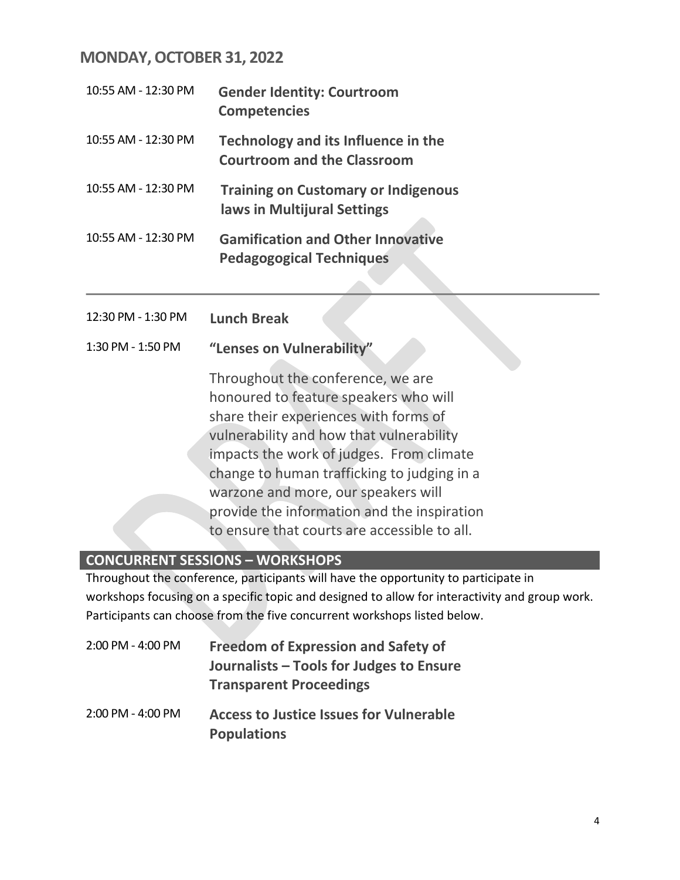# **MONDAY, OCTOBER 31, 2022**

| 10:55 AM - 12:30 PM | <b>Gender Identity: Courtroom</b><br><b>Competencies</b>                    |
|---------------------|-----------------------------------------------------------------------------|
| 10:55 AM - 12:30 PM | Technology and its Influence in the<br><b>Courtroom and the Classroom</b>   |
| 10:55 AM - 12:30 PM | <b>Training on Customary or Indigenous</b><br>laws in Multijural Settings   |
| 10:55 AM - 12:30 PM | <b>Gamification and Other Innovative</b><br><b>Pedagogogical Techniques</b> |

- 12:30 PM 1:30 PM **Lunch Break**
- 1:30 PM 1:50 PM **"Lenses on Vulnerability"**

Throughout the conference, we are honoured to feature speakers who will share their experiences with forms of vulnerability and how that vulnerability impacts the work of judges. From climate change to human trafficking to judging in a warzone and more, our speakers will provide the information and the inspiration to ensure that courts are accessible to all.

### **CONCURRENT SESSIONS – WORKSHOPS**

Throughout the conference, participants will have the opportunity to participate in workshops focusing on a specific topic and designed to allow for interactivity and group work. Participants can choose from the five concurrent workshops listed below.

| 2:00 PM - 4:00 PM | <b>Freedom of Expression and Safety of</b><br>Journalists – Tools for Judges to Ensure<br><b>Transparent Proceedings</b> |
|-------------------|--------------------------------------------------------------------------------------------------------------------------|
| 2:00 PM - 4:00 PM | <b>Access to Justice Issues for Vulnerable</b>                                                                           |

**Populations**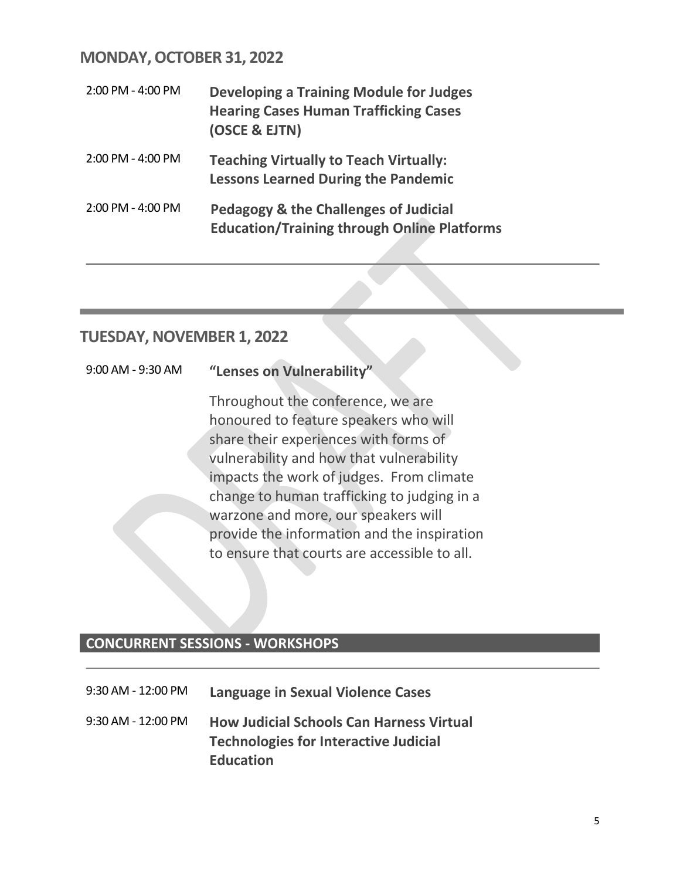# **MONDAY, OCTOBER 31, 2022**

| 2:00 PM - 4:00 PM   | <b>Developing a Training Module for Judges</b><br><b>Hearing Cases Human Trafficking Cases</b><br>(OSCE & EJTN) |
|---------------------|-----------------------------------------------------------------------------------------------------------------|
| $2:00$ PM - 4:00 PM | <b>Teaching Virtually to Teach Virtually:</b><br><b>Lessons Learned During the Pandemic</b>                     |
| $2:00$ PM - 4:00 PM | <b>Pedagogy &amp; the Challenges of Judicial</b><br><b>Education/Training through Online Platforms</b>          |

# **TUESDAY, NOVEMBER 1, 2022**

| 9:00 AM - 9:30 AM |  | "Lenses on Vulnerability" |
|-------------------|--|---------------------------|
|-------------------|--|---------------------------|

Throughout the conference, we are honoured to feature speakers who will share their experiences with forms of vulnerability and how that vulnerability impacts the work of judges. From climate change to human trafficking to judging in a warzone and more, our speakers will provide the information and the inspiration to ensure that courts are accessible to all.

# **CONCURRENT SESSIONS - WORKSHOPS**

| 9:30 AM - 12:00 PM | Language in Sexual Violence Cases                                                                                   |
|--------------------|---------------------------------------------------------------------------------------------------------------------|
| 9:30 AM - 12:00 PM | <b>How Judicial Schools Can Harness Virtual</b><br><b>Technologies for Interactive Judicial</b><br><b>Education</b> |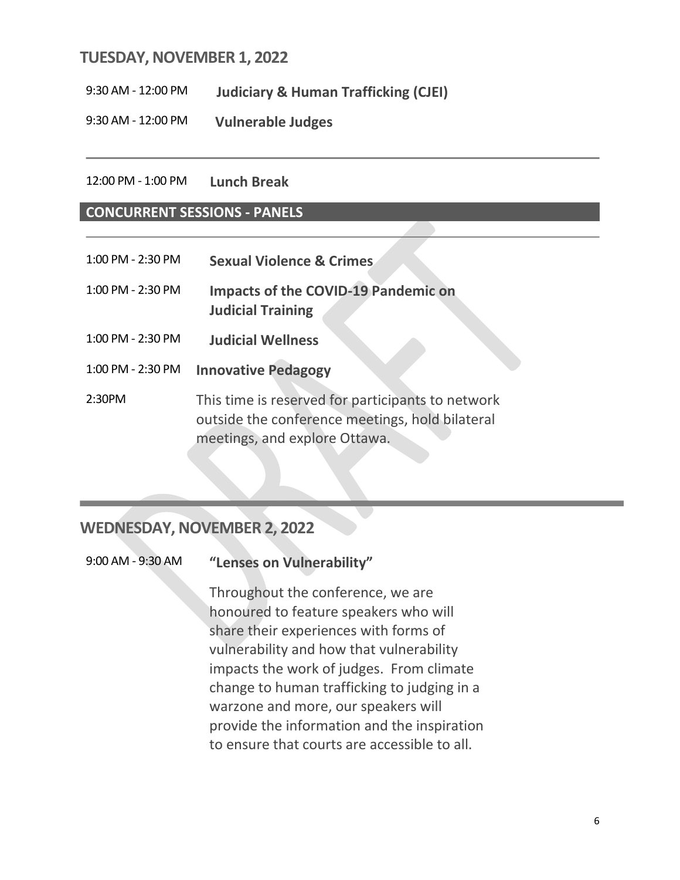### **TUESDAY, NOVEMBER 1, 2022**

9:30 AM - 12:00 PM **Judiciary & Human Trafficking (CJEI)**

9:30 AM - 12:00 PM **Vulnerable Judges**

#### 12:00 PM - 1:00 PM **Lunch Break**

#### **CONCURRENT SESSIONS - PANELS**

- 1:00 PM 2:30 PM **Sexual Violence & Crimes**
- 1:00 PM 2:30 PM **Impacts of the COVID-19 Pandemic on Judicial Training**
- 1:00 PM 2:30 PM **Judicial Wellness**
- 1:00 PM 2:30 PM **Innovative Pedagogy**

2:30PM This time is reserved for participants to network outside the conference meetings, hold bilateral meetings, and explore Ottawa.

# **WEDNESDAY, NOVEMBER 2, 2022**

Throughout the conference, we are honoured to feature speakers who will share their experiences with forms of vulnerability and how that vulnerability impacts the work of judges. From climate change to human trafficking to judging in a warzone and more, our speakers will provide the information and the inspiration to ensure that courts are accessible to all.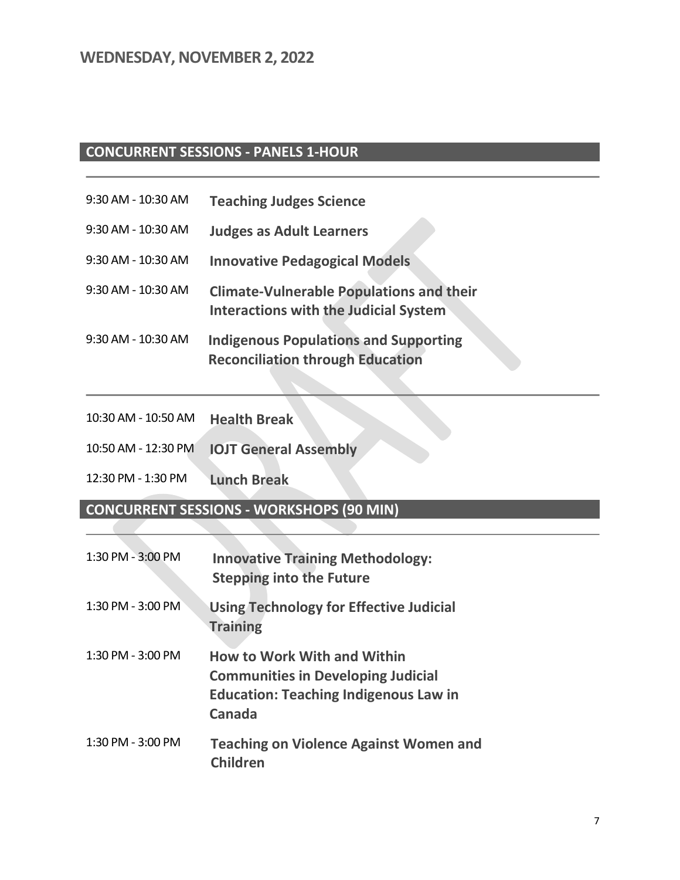# **CONCURRENT SESSIONS - PANELS 1-HOUR**

| 9:30 AM - 10:30 AM | <b>Teaching Judges Science</b> |
|--------------------|--------------------------------|
|--------------------|--------------------------------|

- 9:30 AM 10:30 AM **Judges as Adult Learners**
- 9:30 AM 10:30 AM **Innovative Pedagogical Models**
- 9:30 AM 10:30 AM **Climate-Vulnerable Populations and their Interactions with the Judicial System**
- 9:30 AM 10:30 AM **Indigenous Populations and Supporting Reconciliation through Education**

| 10:30 AM - 10:50 AM | <b>Health Break</b>          |
|---------------------|------------------------------|
| 10:50 AM - 12:30 PM | <b>IOJT General Assembly</b> |

12:30 PM - 1:30 PM **Lunch Break**

**CONCURRENT SESSIONS - WORKSHOPS (90 MIN)**

| 1:30 PM - 3:00 PM     | <b>Innovative Training Methodology:</b><br><b>Stepping into the Future</b>                                                                |
|-----------------------|-------------------------------------------------------------------------------------------------------------------------------------------|
| 1:30 PM - 3:00 PM     | <b>Using Technology for Effective Judicial</b><br><b>Training</b>                                                                         |
| $1:30$ PM - $3:00$ PM | <b>How to Work With and Within</b><br><b>Communities in Developing Judicial</b><br><b>Education: Teaching Indigenous Law in</b><br>Canada |
| $1:30$ PM - $3:00$ PM | <b>Teaching on Violence Against Women and</b><br><b>Children</b>                                                                          |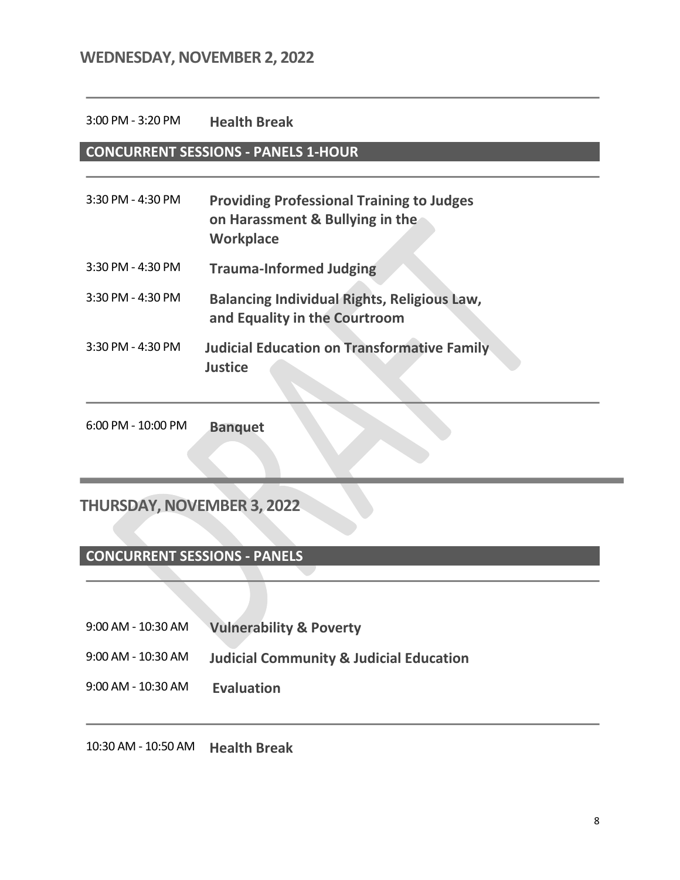### **WEDNESDAY, NOVEMBER 2, 2022**

#### 3:00 PM - 3:20 PM **Health Break**

### **CONCURRENT SESSIONS - PANELS 1-HOUR**

| 3:30 PM - 4:30 PM | <b>Providing Professional Training to Judges</b><br>on Harassment & Bullying in the<br><b>Workplace</b> |
|-------------------|---------------------------------------------------------------------------------------------------------|
| 3:30 PM - 4:30 PM | <b>Trauma-Informed Judging</b>                                                                          |
| 3:30 PM - 4:30 PM | <b>Balancing Individual Rights, Religious Law,</b><br>and Equality in the Courtroom                     |
| 3:30 PM - 4:30 PM | <b>Judicial Education on Transformative Family</b><br><b>Justice</b>                                    |

6:00 PM - 10:00 PM **Banquet**

# **THURSDAY, NOVEMBER 3, 2022**

### **CONCURRENT SESSIONS - PANELS**

- 9:00 AM 10:30 AM **Vulnerability & Poverty**
- 9:00 AM 10:30 AM **Judicial Community & Judicial Education**
- 9:00 AM 10:30 AM **Evaluation**

10:30 AM - 10:50 AM **Health Break**